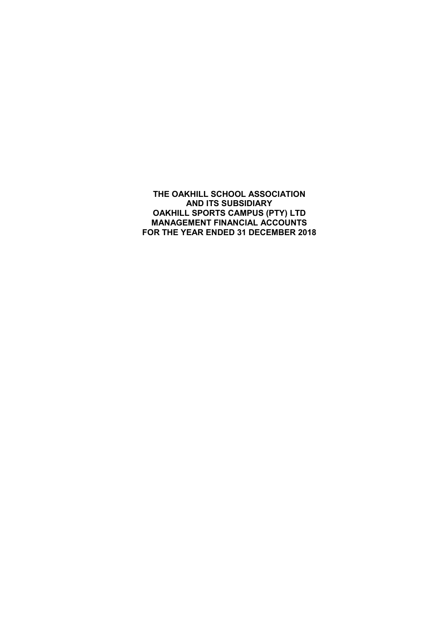THE OAKHILL SCHOOL ASSOCIATION AND ITS SUBSIDIARY OAKHILL SPORTS CAMPUS (PTY) LTD MANAGEMENT FINANCIAL ACCOUNTS FOR THE YEAR ENDED 31 DECEMBER 2018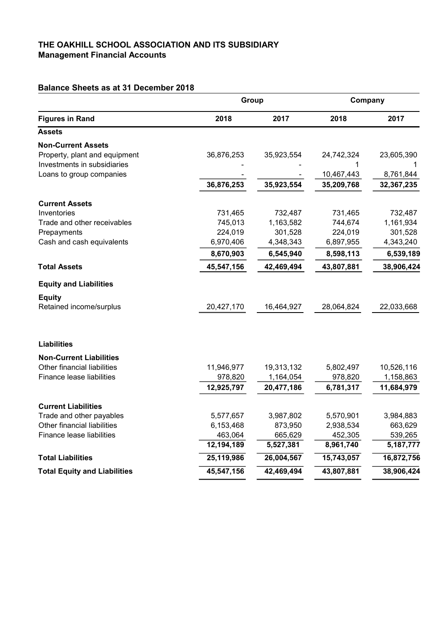### THE OAKHILL SCHOOL ASSOCIATION AND ITS SUBSIDIARY Management Financial Accounts

# Balance Sheets as at 31 December 2018

| <b>Figures in Rand</b>              | Group      |            | Company    |             |
|-------------------------------------|------------|------------|------------|-------------|
|                                     | 2018       | 2017       | 2018       | 2017        |
| <b>Assets</b>                       |            |            |            |             |
| <b>Non-Current Assets</b>           |            |            |            |             |
| Property, plant and equipment       | 36,876,253 | 35,923,554 | 24,742,324 | 23,605,390  |
| Investments in subsidiaries         |            |            | 1          |             |
| Loans to group companies            |            |            | 10,467,443 | 8,761,844   |
|                                     | 36,876,253 | 35,923,554 | 35,209,768 | 32,367,235  |
| <b>Current Assets</b>               |            |            |            |             |
| Inventories                         | 731,465    | 732,487    | 731,465    | 732,487     |
| Trade and other receivables         | 745,013    | 1,163,582  | 744,674    | 1,161,934   |
| Prepayments                         | 224,019    | 301,528    | 224,019    | 301,528     |
| Cash and cash equivalents           | 6,970,406  | 4,348,343  | 6,897,955  | 4,343,240   |
|                                     | 8,670,903  | 6,545,940  | 8,598,113  | 6,539,189   |
| <b>Total Assets</b>                 | 45,547,156 | 42,469,494 | 43,807,881 | 38,906,424  |
| <b>Equity and Liabilities</b>       |            |            |            |             |
| <b>Equity</b>                       |            |            |            |             |
| Retained income/surplus             | 20,427,170 | 16,464,927 | 28,064,824 | 22,033,668  |
| <b>Liabilities</b>                  |            |            |            |             |
| <b>Non-Current Liabilities</b>      |            |            |            |             |
| Other financial liabilities         | 11,946,977 | 19,313,132 | 5,802,497  | 10,526,116  |
| <b>Finance lease liabilities</b>    | 978,820    | 1,164,054  | 978,820    | 1,158,863   |
|                                     | 12,925,797 | 20,477,186 | 6,781,317  | 11,684,979  |
| <b>Current Liabilities</b>          |            |            |            |             |
| Trade and other payables            | 5,577,657  | 3,987,802  | 5,570,901  | 3,984,883   |
| Other financial liabilities         | 6,153,468  | 873,950    | 2,938,534  | 663,629     |
| Finance lease liabilities           | 463,064    | 665,629    | 452,305    | 539,265     |
|                                     | 12,194,189 | 5,527,381  | 8,961,740  | 5, 187, 777 |
| <b>Total Liabilities</b>            | 25,119,986 | 26,004,567 | 15,743,057 | 16,872,756  |
| <b>Total Equity and Liabilities</b> | 45,547,156 | 42,469,494 | 43,807,881 | 38,906,424  |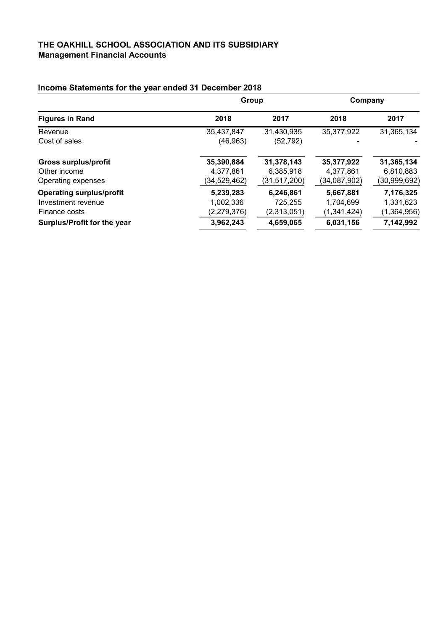### THE OAKHILL SCHOOL ASSOCIATION AND ITS SUBSIDIARY Management Financial Accounts

|                                 | Group          |                | Company      |              |
|---------------------------------|----------------|----------------|--------------|--------------|
| <b>Figures in Rand</b>          | 2018           | 2017           | 2018         | 2017         |
| Revenue                         | 35,437,847     | 31,430,935     | 35,377,922   | 31,365,134   |
| Cost of sales                   | (46, 963)      | (52, 792)      |              | $\equiv$     |
| <b>Gross surplus/profit</b>     | 35,390,884     | 31,378,143     | 35,377,922   | 31,365,134   |
| Other income                    | 4,377,861      | 6,385,918      | 4,377,861    | 6,810,883    |
| Operating expenses              | (34, 529, 462) | (31, 517, 200) | (34,087,902) | (30,999,692) |
| <b>Operating surplus/profit</b> | 5,239,283      | 6,246,861      | 5,667,881    | 7,176,325    |
| Investment revenue              | 1,002,336      | 725.255        | 1.704.699    | 1,331,623    |
| Finance costs                   | (2,279,376)    | (2,313,051)    | (1,341,424)  | (1,364,956)  |
| Surplus/Profit for the year     | 3,962,243      | 4,659,065      | 6,031,156    | 7,142,992    |

# Income Statements for the year ended 31 December 2018